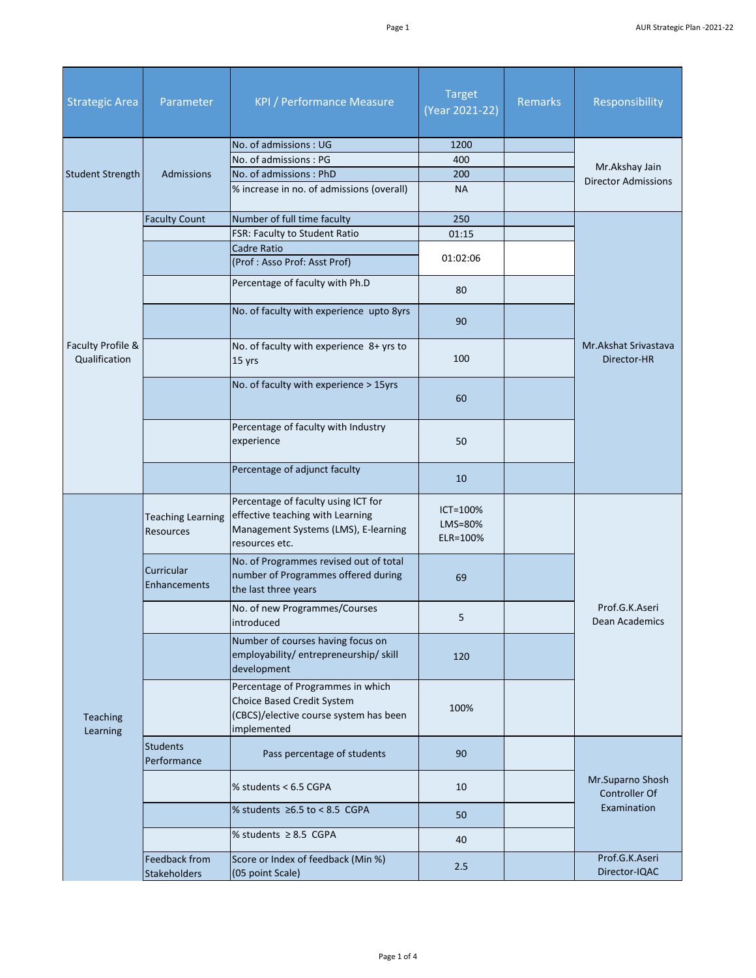| <b>Strategic Area</b>              | Parameter                             | <b>KPI / Performance Measure</b>                                                                                                  | <b>Target</b><br>(Year 2021-22) | <b>Remarks</b> | Responsibility                                          |
|------------------------------------|---------------------------------------|-----------------------------------------------------------------------------------------------------------------------------------|---------------------------------|----------------|---------------------------------------------------------|
|                                    |                                       | No. of admissions: UG                                                                                                             | 1200                            |                |                                                         |
|                                    |                                       | No. of admissions: PG                                                                                                             | 400                             |                | Mr.Akshay Jain<br><b>Director Admissions</b>            |
| <b>Student Strength</b>            | Admissions                            | No. of admissions: PhD                                                                                                            | 200                             |                |                                                         |
|                                    |                                       | % increase in no. of admissions (overall)                                                                                         | <b>NA</b>                       |                |                                                         |
|                                    | <b>Faculty Count</b>                  | Number of full time faculty                                                                                                       | 250                             |                |                                                         |
|                                    |                                       | FSR: Faculty to Student Ratio                                                                                                     | 01:15                           |                |                                                         |
|                                    |                                       | <b>Cadre Ratio</b><br>(Prof: Asso Prof: Asst Prof)                                                                                | 01:02:06                        |                |                                                         |
|                                    |                                       | Percentage of faculty with Ph.D                                                                                                   | 80                              |                |                                                         |
|                                    |                                       | No. of faculty with experience upto 8yrs                                                                                          | 90                              |                |                                                         |
| Faculty Profile &<br>Qualification |                                       | No. of faculty with experience 8+ yrs to<br>15 yrs                                                                                | 100                             |                | Mr.Akshat Srivastava<br>Director-HR                     |
|                                    |                                       | No. of faculty with experience > 15yrs                                                                                            | 60                              |                |                                                         |
|                                    |                                       | Percentage of faculty with Industry<br>experience                                                                                 | 50                              |                |                                                         |
|                                    |                                       | Percentage of adjunct faculty                                                                                                     | 10                              |                |                                                         |
|                                    | <b>Teaching Learning</b><br>Resources | Percentage of faculty using ICT for<br>effective teaching with Learning<br>Management Systems (LMS), E-learning<br>resources etc. | ICT=100%<br>LMS=80%<br>ELR=100% |                |                                                         |
|                                    | Curricular<br><b>Enhancements</b>     | No. of Programmes revised out of total<br>number of Programmes offered during<br>the last three years                             | 69                              |                | Prof.G.K.Aseri<br>Dean Academics                        |
|                                    |                                       | No. of new Programmes/Courses<br>introduced                                                                                       | 5                               |                |                                                         |
| Teaching<br>Learning               |                                       | Number of courses having focus on<br>employability/ entrepreneurship/ skill<br>development                                        | 120                             |                |                                                         |
|                                    |                                       | Percentage of Programmes in which<br><b>Choice Based Credit System</b><br>(CBCS)/elective course system has been<br>implemented   | 100%                            |                |                                                         |
|                                    | <b>Students</b><br>Performance        | Pass percentage of students                                                                                                       | 90                              |                | Mr.Suparno Shosh<br><b>Controller Of</b><br>Examination |
|                                    |                                       | % students < 6.5 CGPA                                                                                                             | 10                              |                |                                                         |
|                                    |                                       | % students $\geq 6.5$ to < 8.5 CGPA                                                                                               | 50                              |                |                                                         |
|                                    |                                       | % students $\geq 8.5$ CGPA                                                                                                        | 40                              |                |                                                         |
|                                    | Feedback from<br><b>Stakeholders</b>  | Score or Index of feedback (Min %)<br>(05 point Scale)                                                                            | 2.5                             |                | Prof.G.K.Aseri<br>Director-IQAC                         |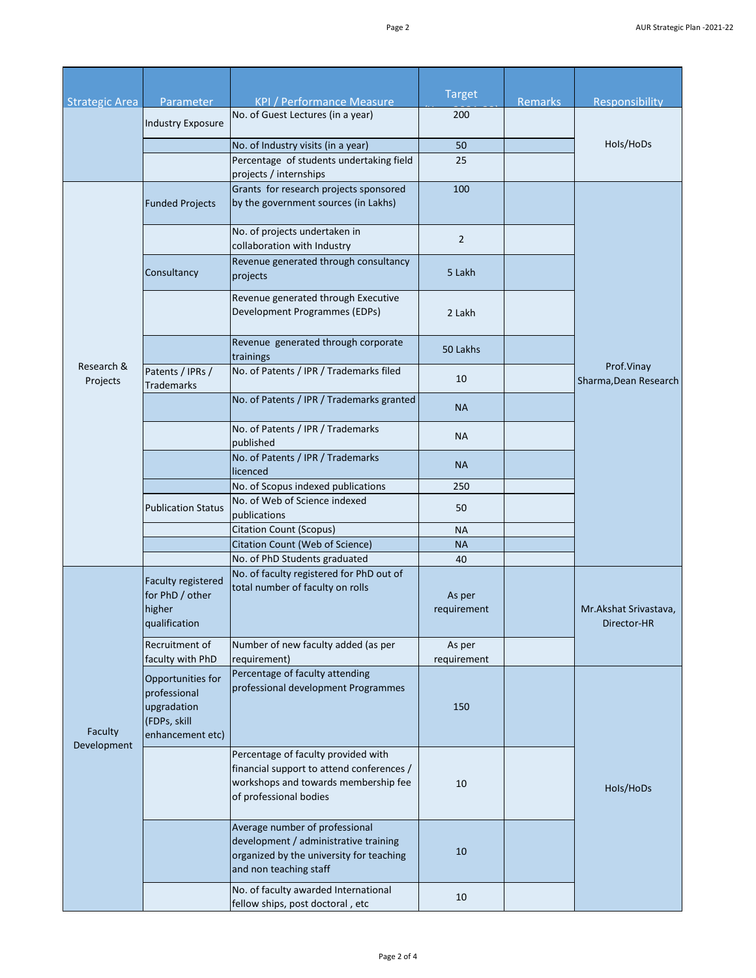|                        |                                                                                      |                                                                                                                                                    | <b>Target</b>         |                |                                       |
|------------------------|--------------------------------------------------------------------------------------|----------------------------------------------------------------------------------------------------------------------------------------------------|-----------------------|----------------|---------------------------------------|
| <b>Strategic Area</b>  | Parameter                                                                            | <b>KPI / Performance Measure</b>                                                                                                                   |                       | <b>Remarks</b> | Responsibility                        |
|                        | <b>Industry Exposure</b>                                                             | No. of Guest Lectures (in a year)                                                                                                                  | 200                   |                |                                       |
|                        |                                                                                      | No. of Industry visits (in a year)                                                                                                                 | 50                    |                | Hols/HoDs                             |
|                        |                                                                                      | Percentage of students undertaking field<br>projects / internships                                                                                 | 25                    |                |                                       |
|                        | <b>Funded Projects</b>                                                               | Grants for research projects sponsored<br>by the government sources (in Lakhs)                                                                     | 100                   |                |                                       |
|                        |                                                                                      | No. of projects undertaken in<br>collaboration with Industry                                                                                       | $\overline{2}$        |                |                                       |
|                        | Consultancy                                                                          | Revenue generated through consultancy<br>projects                                                                                                  | 5 Lakh                |                |                                       |
|                        |                                                                                      | Revenue generated through Executive<br>Development Programmes (EDPs)                                                                               | 2 Lakh                |                |                                       |
|                        |                                                                                      | Revenue generated through corporate<br>trainings                                                                                                   | 50 Lakhs              |                |                                       |
| Research &<br>Projects | Patents / IPRs /<br><b>Trademarks</b>                                                | No. of Patents / IPR / Trademarks filed                                                                                                            | 10                    |                | Prof.Vinav<br>Sharma, Dean Research   |
|                        |                                                                                      | No. of Patents / IPR / Trademarks granted                                                                                                          | <b>NA</b>             |                |                                       |
|                        |                                                                                      | No. of Patents / IPR / Trademarks<br>published                                                                                                     | <b>NA</b>             |                |                                       |
|                        |                                                                                      | No. of Patents / IPR / Trademarks<br>licenced                                                                                                      | <b>NA</b>             |                |                                       |
|                        |                                                                                      | No. of Scopus indexed publications                                                                                                                 | 250                   |                |                                       |
|                        | <b>Publication Status</b>                                                            | No. of Web of Science indexed<br>publications                                                                                                      | 50                    |                |                                       |
|                        |                                                                                      | <b>Citation Count (Scopus)</b>                                                                                                                     | <b>NA</b>             |                |                                       |
|                        |                                                                                      | Citation Count (Web of Science)                                                                                                                    | <b>NA</b>             |                |                                       |
|                        |                                                                                      | No. of PhD Students graduated                                                                                                                      | 40                    |                |                                       |
| Faculty<br>Development | Faculty registered<br>for PhD / other<br>higher<br>qualification                     | No. of faculty registered for PhD out of<br>total number of faculty on rolls                                                                       | As per<br>requirement |                | Mr. Akshat Srivastava,<br>Director-HR |
|                        | Recruitment of<br>faculty with PhD                                                   | Number of new faculty added (as per<br>requirement)                                                                                                | As per<br>requirement |                |                                       |
|                        | Opportunities for<br>professional<br>upgradation<br>(FDPs, skill<br>enhancement etc) | Percentage of faculty attending<br>professional development Programmes                                                                             | 150                   |                |                                       |
|                        |                                                                                      | Percentage of faculty provided with<br>financial support to attend conferences /<br>workshops and towards membership fee<br>of professional bodies | 10                    |                | Hols/HoDs                             |
|                        |                                                                                      | Average number of professional<br>development / administrative training<br>organized by the university for teaching<br>and non teaching staff      | 10                    |                |                                       |
|                        |                                                                                      | No. of faculty awarded International<br>fellow ships, post doctoral, etc                                                                           | 10                    |                |                                       |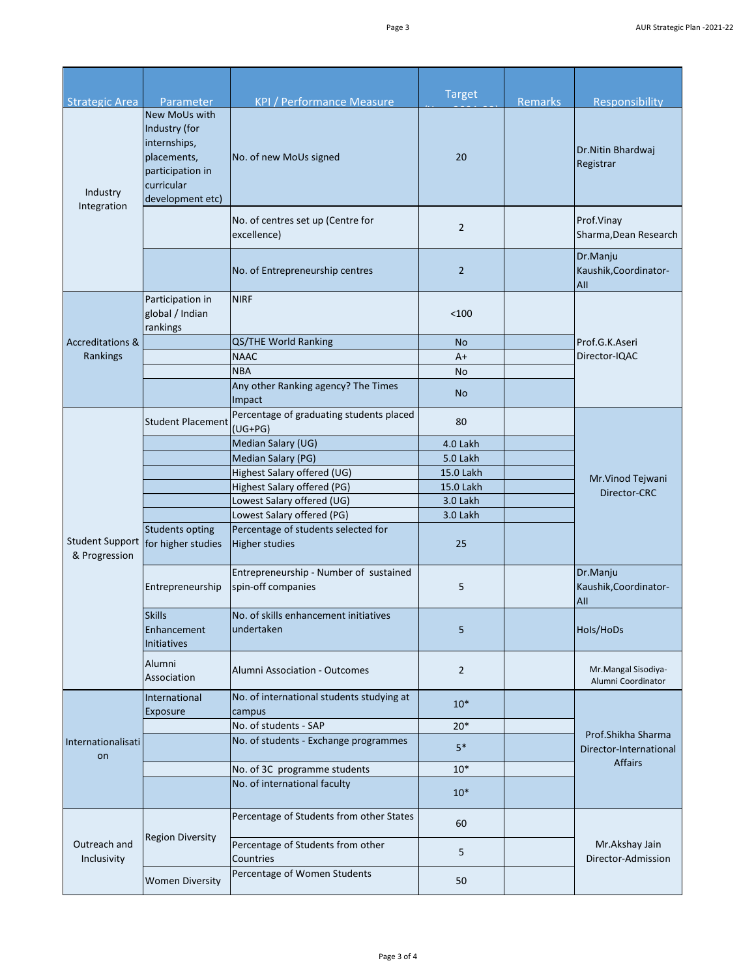| <b>Strategic Area</b>                   | <b>Parameter</b>                                                                                                           | <b>KPI / Performance Measure</b>                             | <b>Target</b>  | <b>Remarks</b> | Responsibility                                                 |
|-----------------------------------------|----------------------------------------------------------------------------------------------------------------------------|--------------------------------------------------------------|----------------|----------------|----------------------------------------------------------------|
| Industry<br>Integration                 | <b>New MoUs with</b><br>Industry (for<br>internships,<br>placements,<br>participation in<br>curricular<br>development etc) | No. of new MoUs signed                                       | 20             |                | Dr.Nitin Bhardwaj<br>Registrar                                 |
|                                         |                                                                                                                            | No. of centres set up (Centre for<br>excellence)             | $\overline{2}$ |                | Prof.Vinay<br>Sharma, Dean Research                            |
|                                         |                                                                                                                            | No. of Entrepreneurship centres                              | $\overline{2}$ |                | Dr.Manju<br>Kaushik, Coordinator-<br>All                       |
|                                         | Participation in<br>global / Indian<br>rankings                                                                            | <b>NIRF</b>                                                  | < 100          |                |                                                                |
| <b>Accreditations &amp;</b>             |                                                                                                                            | QS/THE World Ranking                                         | No             |                | Prof.G.K.Aseri                                                 |
| Rankings                                |                                                                                                                            | <b>NAAC</b>                                                  | A+             |                | Director-IQAC                                                  |
|                                         |                                                                                                                            | <b>NBA</b>                                                   | <b>No</b>      |                |                                                                |
|                                         |                                                                                                                            | Any other Ranking agency? The Times<br>Impact                | <b>No</b>      |                |                                                                |
|                                         | <b>Student Placement</b>                                                                                                   | Percentage of graduating students placed<br>$(UG+PG)$        | 80             |                | Mr.Vinod Tejwani<br>Director-CRC                               |
|                                         |                                                                                                                            | Median Salary (UG)                                           | 4.0 Lakh       |                |                                                                |
|                                         |                                                                                                                            | Median Salary (PG)                                           | 5.0 Lakh       |                |                                                                |
|                                         |                                                                                                                            | Highest Salary offered (UG)                                  | 15.0 Lakh      |                |                                                                |
|                                         |                                                                                                                            | Highest Salary offered (PG)                                  | 15.0 Lakh      |                |                                                                |
|                                         |                                                                                                                            | Lowest Salary offered (UG)                                   | 3.0 Lakh       |                |                                                                |
|                                         |                                                                                                                            | Lowest Salary offered (PG)                                   | 3.0 Lakh       |                |                                                                |
| <b>Student Support</b><br>& Progression | <b>Students opting</b><br>for higher studies                                                                               | Percentage of students selected for<br><b>Higher studies</b> | 25             |                |                                                                |
|                                         | Entrepreneurship                                                                                                           | Entrepreneurship - Number of sustained<br>spin-off companies | 5              |                | Dr.Manju<br>Kaushik, Coordinator-<br>All                       |
|                                         | <b>Skills</b><br>Enhancement<br><b>Initiatives</b>                                                                         | No. of skills enhancement initiatives<br>undertaken          | 5              |                | Hols/HoDs                                                      |
|                                         | Alumni<br>Association                                                                                                      | <b>Alumni Association - Outcomes</b>                         | $\overline{2}$ |                | Mr.Mangal Sisodiya-<br>Alumni Coordinator                      |
| Internationalisati<br>on                | International<br>Exposure                                                                                                  | No. of international students studying at<br>campus          | $10*$          |                | Prof.Shikha Sharma<br>Director-International<br><b>Affairs</b> |
|                                         |                                                                                                                            | No. of students - SAP                                        | $20*$          |                |                                                                |
|                                         |                                                                                                                            | No. of students - Exchange programmes                        | $5*$           |                |                                                                |
|                                         |                                                                                                                            | No. of 3C programme students                                 | $10*$          |                |                                                                |
|                                         |                                                                                                                            | No. of international faculty                                 | $10*$          |                |                                                                |
| Outreach and<br>Inclusivity             | <b>Region Diversity</b>                                                                                                    | Percentage of Students from other States                     | 60             |                | Mr.Akshay Jain<br>Director-Admission                           |
|                                         |                                                                                                                            | Percentage of Students from other<br>Countries               | 5              |                |                                                                |
|                                         | <b>Women Diversity</b>                                                                                                     | Percentage of Women Students                                 | 50             |                |                                                                |